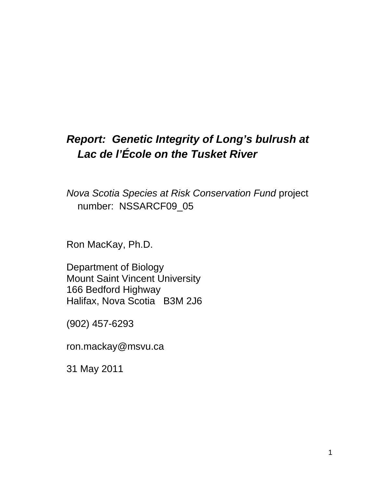# *Report:**Genetic Integrity of Long's bulrush at Lac de l'École on the Tusket River*

*Nova Scotia Species at Risk Conservation Fund* project number: NSSARCF09\_05

Ron MacKay, Ph.D.

Department of Biology Mount Saint Vincent University 166 Bedford Highway Halifax, Nova Scotia B3M 2J6

(902) 457-6293

ron.mackay@msvu.ca

31 May 2011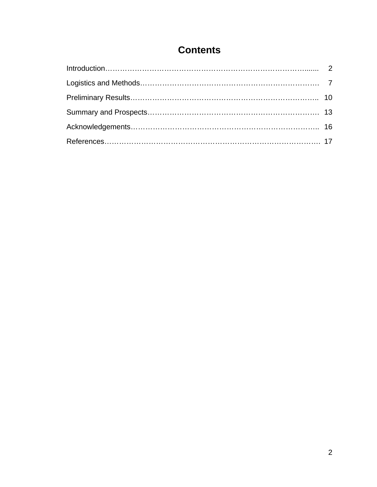# **Contents**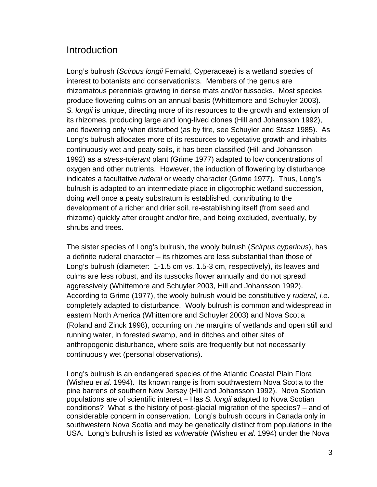## Introduction

Long's bulrush (*Scirpus longii* Fernald, Cyperaceae) is a wetland species of interest to botanists and conservationists. Members of the genus are rhizomatous perennials growing in dense mats and/or tussocks. Most species produce flowering culms on an annual basis (Whittemore and Schuyler 2003). *S. longii* is unique, directing more of its resources to the growth and extension of its rhizomes, producing large and long-lived clones (Hill and Johansson 1992), and flowering only when disturbed (as by fire, see Schuyler and Stasz 1985). As Long's bulrush allocates more of its resources to vegetative growth and inhabits continuously wet and peaty soils, it has been classified (Hill and Johansson 1992) as a *stress-tolerant* plant (Grime 1977) adapted to low concentrations of oxygen and other nutrients. However, the induction of flowering by disturbance indicates a facultative *ruderal* or weedy character (Grime 1977). Thus, Long's bulrush is adapted to an intermediate place in oligotrophic wetland succession, doing well once a peaty substratum is established, contributing to the development of a richer and drier soil, re-establishing itself (from seed and rhizome) quickly after drought and/or fire, and being excluded, eventually, by shrubs and trees.

The sister species of Long's bulrush, the wooly bulrush (*Scirpus cyperinus*), has a definite ruderal character – its rhizomes are less substantial than those of Long's bulrush (diameter: 1-1.5 cm vs. 1.5-3 cm, respectively), its leaves and culms are less robust, and its tussocks flower annually and do not spread aggressively (Whittemore and Schuyler 2003, Hill and Johansson 1992). According to Grime (1977), the wooly bulrush would be constitutively *ruderal*, *i.e*. completely adapted to disturbance. Wooly bulrush is common and widespread in eastern North America (Whittemore and Schuyler 2003) and Nova Scotia (Roland and Zinck 1998), occurring on the margins of wetlands and open still and running water, in forested swamp, and in ditches and other sites of anthropogenic disturbance, where soils are frequently but not necessarily continuously wet (personal observations).

Long's bulrush is an endangered species of the Atlantic Coastal Plain Flora (Wisheu *et al*. 1994). Its known range is from southwestern Nova Scotia to the pine barrens of southern New Jersey (Hill and Johansson 1992). Nova Scotian populations are of scientific interest – Has *S. longii* adapted to Nova Scotian conditions? What is the history of post-glacial migration of the species? – and of considerable concern in conservation. Long's bulrush occurs in Canada only in southwestern Nova Scotia and may be genetically distinct from populations in the USA. Long's bulrush is listed as *vulnerable* (Wisheu *et al*. 1994) under the Nova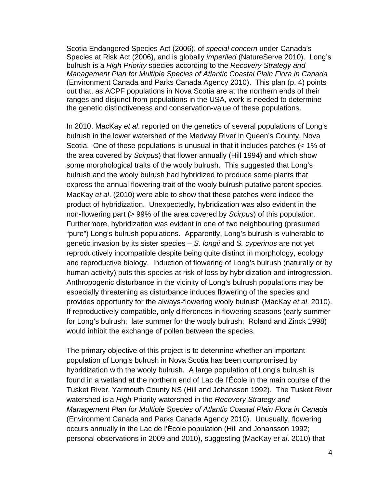Scotia Endangered Species Act (2006), of *special concern* under Canada's Species at Risk Act (2006), and is globally *imperiled* (NatureServe 2010). Long's bulrush is a *High Priority* species according to the *Recovery Strategy and Management Plan for Multiple Species of Atlantic Coastal Plain Flora in Canada* (Environment Canada and Parks Canada Agency 2010). This plan (p. 4) points out that, as ACPF populations in Nova Scotia are at the northern ends of their ranges and disjunct from populations in the USA, work is needed to determine the genetic distinctiveness and conservation-value of these populations.

In 2010, MacKay *et al*. reported on the genetics of several populations of Long's bulrush in the lower watershed of the Medway River in Queen's County, Nova Scotia. One of these populations is unusual in that it includes patches (< 1% of the area covered by *Scirpus*) that flower annually (Hill 1994) and which show some morphological traits of the wooly bulrush. This suggested that Long's bulrush and the wooly bulrush had hybridized to produce some plants that express the annual flowering-trait of the wooly bulrush putative parent species. MacKay *et al*. (2010) were able to show that these patches were indeed the product of hybridization. Unexpectedly, hybridization was also evident in the non-flowering part (> 99% of the area covered by *Scirpus*) of this population. Furthermore, hybridization was evident in one of two neighbouring (presumed "pure") Long's bulrush populations. Apparently, Long's bulrush is vulnerable to genetic invasion by its sister species – *S. longii* and *S. cyperinus* are not yet reproductively incompatible despite being quite distinct in morphology, ecology and reproductive biology. Induction of flowering of Long's bulrush (naturally or by human activity) puts this species at risk of loss by hybridization and introgression. Anthropogenic disturbance in the vicinity of Long's bulrush populations may be especially threatening as disturbance induces flowering of the species and provides opportunity for the always-flowering wooly bulrush (MacKay *et al*. 2010). If reproductively compatible, only differences in flowering seasons (early summer for Long's bulrush; late summer for the wooly bulrush; Roland and Zinck 1998) would inhibit the exchange of pollen between the species.

The primary objective of this project is to determine whether an important population of Long's bulrush in Nova Scotia has been compromised by hybridization with the wooly bulrush. A large population of Long's bulrush is found in a wetland at the northern end of Lac de l'École in the main course of the Tusket River, Yarmouth County NS (Hill and Johansson 1992). The Tusket River watershed is a *High* Priority watershed in the *Recovery Strategy and Management Plan for Multiple Species of Atlantic Coastal Plain Flora in Canada* (Environment Canada and Parks Canada Agency 2010). Unusually, flowering occurs annually in the Lac de l'École population (Hill and Johansson 1992; personal observations in 2009 and 2010), suggesting (MacKay *et al*. 2010) that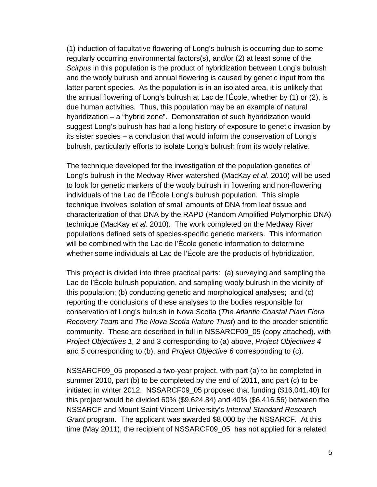(1) induction of facultative flowering of Long's bulrush is occurring due to some regularly occurring environmental factors(s), and/or (2) at least some of the *Scirpus* in this population is the product of hybridization between Long's bulrush and the wooly bulrush and annual flowering is caused by genetic input from the latter parent species. As the population is in an isolated area, it is unlikely that the annual flowering of Long's bulrush at Lac de l'École, whether by (1) or (2), is due human activities. Thus, this population may be an example of natural hybridization – a "hybrid zone". Demonstration of such hybridization would suggest Long's bulrush has had a long history of exposure to genetic invasion by its sister species – a conclusion that would inform the conservation of Long's bulrush, particularly efforts to isolate Long's bulrush from its wooly relative.

The technique developed for the investigation of the population genetics of Long's bulrush in the Medway River watershed (MacKay *et al*. 2010) will be used to look for genetic markers of the wooly bulrush in flowering and non-flowering individuals of the Lac de l'École Long's bulrush population. This simple technique involves isolation of small amounts of DNA from leaf tissue and characterization of that DNA by the RAPD (Random Amplified Polymorphic DNA) technique (MacKay *et al*. 2010). The work completed on the Medway River populations defined sets of species-specific genetic markers. This information will be combined with the Lac de l'École genetic information to determine whether some individuals at Lac de l'École are the products of hybridization.

This project is divided into three practical parts: (a) surveying and sampling the Lac de l'École bulrush population, and sampling wooly bulrush in the vicinity of this population; (b) conducting genetic and morphological analyses; and (c) reporting the conclusions of these analyses to the bodies responsible for conservation of Long's bulrush in Nova Scotia (*The Atlantic Coastal Plain Flora Recovery Team* and *The Nova Scotia Nature Trust*) and to the broader scientific community. These are described in full in NSSARCF09\_05 (copy attached), with *Project Objectives 1, 2* and 3 corresponding to (a) above, *Project Objectives 4* and *5* corresponding to (b), and *Project Objective 6* corresponding to (c).

NSSARCF09\_05 proposed a two-year project, with part (a) to be completed in summer 2010, part (b) to be completed by the end of 2011, and part (c) to be initiated in winter 2012. NSSARCF09\_05 proposed that funding (\$16,041.40) for this project would be divided 60% (\$9,624.84) and 40% (\$6,416.56) between the NSSARCF and Mount Saint Vincent University's *Internal Standard Research Grant* program. The applicant was awarded \$8,000 by the NSSARCF. At this time (May 2011), the recipient of NSSARCF09\_05 has not applied for a related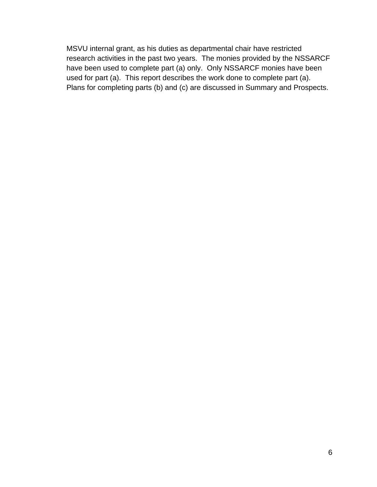MSVU internal grant, as his duties as departmental chair have restricted research activities in the past two years. The monies provided by the NSSARCF have been used to complete part (a) only. Only NSSARCF monies have been used for part (a). This report describes the work done to complete part (a). Plans for completing parts (b) and (c) are discussed in Summary and Prospects.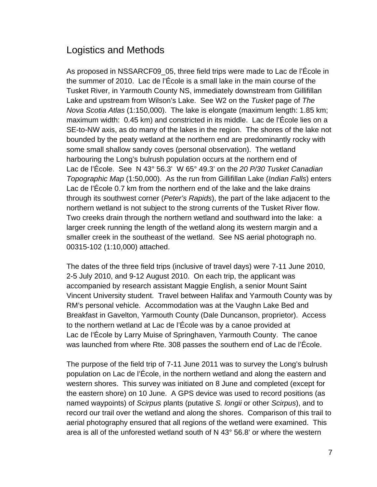## Logistics and Methods

As proposed in NSSARCF09\_05, three field trips were made to Lac de l'École in the summer of 2010. Lac de l'École is a small lake in the main course of the Tusket River, in Yarmouth County NS, immediately downstream from Gillifillan Lake and upstream from Wilson's Lake. See W2 on the *Tusket* page of *The Nova Scotia Atlas* (1:150,000). The lake is elongate (maximum length: 1.85 km; maximum width: 0.45 km) and constricted in its middle. Lac de l'École lies on a SE-to-NW axis, as do many of the lakes in the region. The shores of the lake not bounded by the peaty wetland at the northern end are predominantly rocky with some small shallow sandy coves (personal observation). The wetland harbouring the Long's bulrush population occurs at the northern end of Lac de l'École. See N 43° 56.3' W 65° 49.3' on the *20 P/30 Tusket Canadian Topographic Map* (1:50,000). As the run from Gillifillan Lake (*Indian Falls*) enters Lac de l'École 0.7 km from the northern end of the lake and the lake drains through its southwest corner (*Peter's Rapids*), the part of the lake adjacent to the northern wetland is not subject to the strong currents of the Tusket River flow. Two creeks drain through the northern wetland and southward into the lake: a larger creek running the length of the wetland along its western margin and a smaller creek in the southeast of the wetland. See NS aerial photograph no. 00315-102 (1:10,000) attached.

The dates of the three field trips (inclusive of travel days) were 7-11 June 2010, 2-5 July 2010, and 9-12 August 2010. On each trip, the applicant was accompanied by research assistant Maggie English, a senior Mount Saint Vincent University student. Travel between Halifax and Yarmouth County was by RM's personal vehicle. Accommodation was at the Vaughn Lake Bed and Breakfast in Gavelton, Yarmouth County (Dale Duncanson, proprietor). Access to the northern wetland at Lac de l'École was by a canoe provided at Lac de l'École by Larry Muise of Springhaven, Yarmouth County. The canoe was launched from where Rte. 308 passes the southern end of Lac de l'École.

The purpose of the field trip of 7-11 June 2011 was to survey the Long's bulrush population on Lac de l'École, in the northern wetland and along the eastern and western shores. This survey was initiated on 8 June and completed (except for the eastern shore) on 10 June. A GPS device was used to record positions (as named waypoints) of *Scirpus* plants (putative *S. longii* or other *Scirpus*), and to record our trail over the wetland and along the shores. Comparison of this trail to aerial photography ensured that all regions of the wetland were examined. This area is all of the unforested wetland south of N  $43^{\circ}$  56.8' or where the western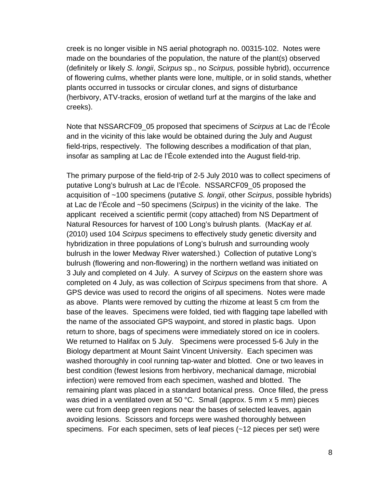creek is no longer visible in NS aerial photograph no. 00315-102. Notes were made on the boundaries of the population, the nature of the plant(s) observed (definitely or likely *S. longii*, *Scirpus* sp., no *Scirpus,* possible hybrid), occurrence of flowering culms, whether plants were lone, multiple, or in solid stands, whether plants occurred in tussocks or circular clones, and signs of disturbance (herbivory, ATV-tracks, erosion of wetland turf at the margins of the lake and creeks).

Note that NSSARCF09\_05 proposed that specimens of *Scirpus* at Lac de l'École and in the vicinity of this lake would be obtained during the July and August field-trips, respectively. The following describes a modification of that plan, insofar as sampling at Lac de l'École extended into the August field-trip.

The primary purpose of the field-trip of 2-5 July 2010 was to collect specimens of putative Long's bulrush at Lac de l'École. NSSARCF09\_05 proposed the acquisition of ~100 specimens (putative *S. longii*, other *Scirpus*, possible hybrids) at Lac de l'École and ~50 specimens (*Scirpus*) in the vicinity of the lake. The applicant received a scientific permit (copy attached) from NS Department of Natural Resources for harvest of 100 Long's bulrush plants. (MacKay *et al.* (2010) used 104 *Scirpus* specimens to effectively study genetic diversity and hybridization in three populations of Long's bulrush and surrounding wooly bulrush in the lower Medway River watershed.) Collection of putative Long's bulrush (flowering and non-flowering) in the northern wetland was initiated on 3 July and completed on 4 July. A survey of *Scirpus* on the eastern shore was completed on 4 July, as was collection of *Scirpus* specimens from that shore. A GPS device was used to record the origins of all specimens. Notes were made as above. Plants were removed by cutting the rhizome at least 5 cm from the base of the leaves. Specimens were folded, tied with flagging tape labelled with the name of the associated GPS waypoint, and stored in plastic bags. Upon return to shore, bags of specimens were immediately stored on ice in coolers. We returned to Halifax on 5 July. Specimens were processed 5-6 July in the Biology department at Mount Saint Vincent University. Each specimen was washed thoroughly in cool running tap-water and blotted. One or two leaves in best condition (fewest lesions from herbivory, mechanical damage, microbial infection) were removed from each specimen, washed and blotted. The remaining plant was placed in a standard botanical press. Once filled, the press was dried in a ventilated oven at 50 °C. Small (approx. 5 mm x 5 mm) pieces were cut from deep green regions near the bases of selected leaves, again avoiding lesions. Scissors and forceps were washed thoroughly between specimens. For each specimen, sets of leaf pieces (~12 pieces per set) were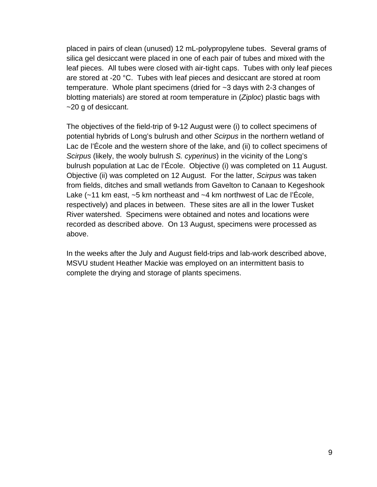placed in pairs of clean (unused) 12 mL-polypropylene tubes. Several grams of silica gel desiccant were placed in one of each pair of tubes and mixed with the leaf pieces. All tubes were closed with air-tight caps. Tubes with only leaf pieces are stored at -20 °C. Tubes with leaf pieces and desiccant are stored at room temperature. Whole plant specimens (dried for ~3 days with 2-3 changes of blotting materials) are stored at room temperature in (*Ziploc*) plastic bags with ~20 g of desiccant.

The objectives of the field-trip of 9-12 August were (i) to collect specimens of potential hybrids of Long's bulrush and other *Scirpus* in the northern wetland of Lac de l'École and the western shore of the lake, and (ii) to collect specimens of *Scirpus* (likely, the wooly bulrush *S. cyperinus*) in the vicinity of the Long's bulrush population at Lac de l'École. Objective (i) was completed on 11 August. Objective (ii) was completed on 12 August. For the latter, *Scirpus* was taken from fields, ditches and small wetlands from Gavelton to Canaan to Kegeshook Lake  $(-11)$  km east,  $-5$  km northeast and  $-4$  km northwest of Lac de l'École, respectively) and places in between. These sites are all in the lower Tusket River watershed. Specimens were obtained and notes and locations were recorded as described above. On 13 August, specimens were processed as above.

In the weeks after the July and August field-trips and lab-work described above, MSVU student Heather Mackie was employed on an intermittent basis to complete the drying and storage of plants specimens.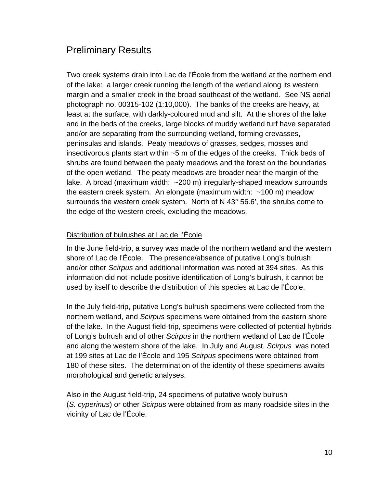# Preliminary Results

Two creek systems drain into Lac de l'École from the wetland at the northern end of the lake: a larger creek running the length of the wetland along its western margin and a smaller creek in the broad southeast of the wetland. See NS aerial photograph no. 00315-102 (1:10,000). The banks of the creeks are heavy, at least at the surface, with darkly-coloured mud and silt. At the shores of the lake and in the beds of the creeks, large blocks of muddy wetland turf have separated and/or are separating from the surrounding wetland, forming crevasses, peninsulas and islands. Peaty meadows of grasses, sedges, mosses and insectivorous plants start within ~5 m of the edges of the creeks. Thick beds of shrubs are found between the peaty meadows and the forest on the boundaries of the open wetland. The peaty meadows are broader near the margin of the lake. A broad (maximum width: ~200 m) irregularly-shaped meadow surrounds the eastern creek system. An elongate (maximum width: ~100 m) meadow surrounds the western creek system. North of N 43° 56.6', the shrubs come to the edge of the western creek, excluding the meadows.

#### Distribution of bulrushes at Lac de l'École

In the June field-trip, a survey was made of the northern wetland and the western shore of Lac de l'École. The presence/absence of putative Long's bulrush and/or other *Scirpus* and additional information was noted at 394 sites. As this information did not include positive identification of Long's bulrush, it cannot be used by itself to describe the distribution of this species at Lac de l'École.

In the July field-trip, putative Long's bulrush specimens were collected from the northern wetland, and *Scirpus* specimens were obtained from the eastern shore of the lake. In the August field-trip, specimens were collected of potential hybrids of Long's bulrush and of other *Scirpus* in the northern wetland of Lac de l'École and along the western shore of the lake. In July and August, *Scirpus* was noted at 199 sites at Lac de l'École and 195 *Scirpus* specimens were obtained from 180 of these sites. The determination of the identity of these specimens awaits morphological and genetic analyses.

Also in the August field-trip, 24 specimens of putative wooly bulrush (*S. cyperinus*) or other *Scirpus* were obtained from as many roadside sites in the vicinity of Lac de l'École.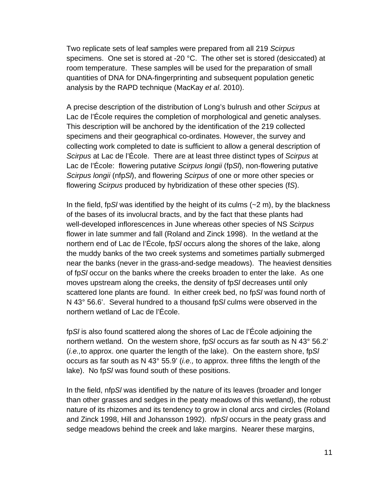Two replicate sets of leaf samples were prepared from all 219 *Scirpus* specimens. One set is stored at -20 °C. The other set is stored (desiccated) at room temperature. These samples will be used for the preparation of small quantities of DNA for DNA-fingerprinting and subsequent population genetic analysis by the RAPD technique (MacKay *et al*. 2010).

A precise description of the distribution of Long's bulrush and other *Scirpus* at Lac de l'École requires the completion of morphological and genetic analyses. This description will be anchored by the identification of the 219 collected specimens and their geographical co-ordinates. However, the survey and collecting work completed to date is sufficient to allow a general description of *Scirpus* at Lac de l'École. There are at least three distinct types of *Scirpus* at Lac de l'École: flowering putative *Scirpus longii* (fp*Sl*), non-flowering putative *Scirpus longii* (nfp*Sl*), and flowering *Scirpus* of one or more other species or flowering *Scirpus* produced by hybridization of these other species (f*S*).

In the field, fp*Sl* was identified by the height of its culms (~2 m), by the blackness of the bases of its involucral bracts, and by the fact that these plants had well-developed inflorescences in June whereas other species of NS *Scirpus* flower in late summer and fall (Roland and Zinck 1998). In the wetland at the northern end of Lac de l'École, fp*Sl* occurs along the shores of the lake, along the muddy banks of the two creek systems and sometimes partially submerged near the banks (never in the grass-and-sedge meadows). The heaviest densities of fp*Sl* occur on the banks where the creeks broaden to enter the lake. As one moves upstream along the creeks, the density of fp*Sl* decreases until only scattered lone plants are found. In either creek bed, no fp*Sl* was found north of N 43° 56.6'. Several hundred to a thousand fp*Sl* culms were observed in the northern wetland of Lac de l'École.

fp*Sl* is also found scattered along the shores of Lac de l'École adjoining the northern wetland. On the western shore, fp*Sl* occurs as far south as N 43° 56.2' (*i.e.,*to approx. one quarter the length of the lake). On the eastern shore, fp*Sl* occurs as far south as N 43° 55.9' (*i.e.,* to approx. three fifths the length of the lake). No fp*Sl* was found south of these positions.

In the field, nfp*Sl* was identified by the nature of its leaves (broader and longer than other grasses and sedges in the peaty meadows of this wetland), the robust nature of its rhizomes and its tendency to grow in clonal arcs and circles (Roland and Zinck 1998, Hill and Johansson 1992). nfp*Sl* occurs in the peaty grass and sedge meadows behind the creek and lake margins. Nearer these margins,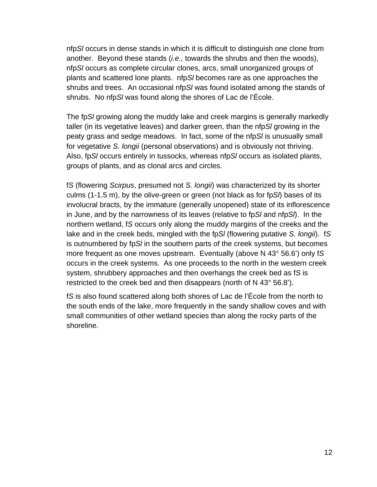nfp*Sl* occurs in dense stands in which it is difficult to distinguish one clone from another. Beyond these stands (*i.e.,* towards the shrubs and then the woods), nfp*Sl* occurs as complete circular clones, arcs, small unorganized groups of plants and scattered lone plants. nfp*Sl* becomes rare as one approaches the shrubs and trees. An occasional nfp*Sl* was found isolated among the stands of shrubs. No nfp*Sl* was found along the shores of Lac de l'École.

The fp*Sl* growing along the muddy lake and creek margins is generally markedly taller (in its vegetative leaves) and darker green, than the nfp*Sl* growing in the peaty grass and sedge meadows. In fact, some of the nfp*Sl* is unusually small for vegetative *S. longii* (personal observations) and is obviously not thriving. Also, fp*Sl* occurs entirely in tussocks, whereas nfp*Sl* occurs as isolated plants, groups of plants, and as clonal arcs and circles.

f*S* (flowering *Scirpus*, presumed not *S. longii*) was characterized by its shorter culms (1-1.5 m), by the olive-green or green (not black as for fp*Sl*) bases of its involucral bracts, by the immature (generally unopened) state of its inflorescence in June, and by the narrowness of its leaves (relative to fp*Sl* and nfp*Sl*). In the northern wetland, f*S* occurs only along the muddy margins of the creeks and the lake and in the creek beds, mingled with the fp*Sl* (flowering putative *S. longii*). f*S* is outnumbered by fp*Sl* in the southern parts of the creek systems, but becomes more frequent as one moves upstream. Eventually (above N 43° 56.6') only f*S* occurs in the creek systems. As one proceeds to the north in the western creek system, shrubbery approaches and then overhangs the creek bed as f*S* is restricted to the creek bed and then disappears (north of N 43° 56.8').

f*S* is also found scattered along both shores of Lac de l'École from the north to the south ends of the lake, more frequently in the sandy shallow coves and with small communities of other wetland species than along the rocky parts of the shoreline.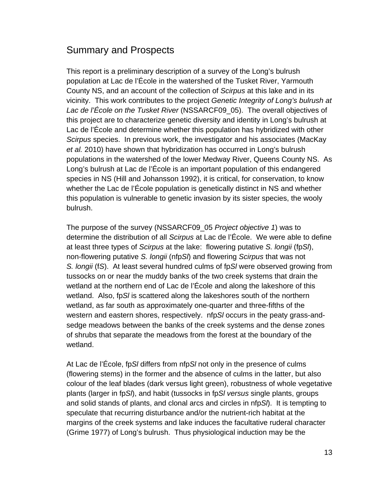# Summary and Prospects

This report is a preliminary description of a survey of the Long's bulrush population at Lac de l'École in the watershed of the Tusket River, Yarmouth County NS, and an account of the collection of *Scirpus* at this lake and in its vicinity. This work contributes to the project *Genetic Integrity of Long's bulrush at Lac de l'École on the Tusket River* (NSSARCF09\_05). The overall objectives of this project are to characterize genetic diversity and identity in Long's bulrush at Lac de l'École and determine whether this population has hybridized with other *Scirpus* species. In previous work, the investigator and his associates (MacKay *et al.* 2010) have shown that hybridization has occurred in Long's bulrush populations in the watershed of the lower Medway River, Queens County NS. As Long's bulrush at Lac de l'École is an important population of this endangered species in NS (Hill and Johansson 1992), it is critical, for conservation, to know whether the Lac de l'École population is genetically distinct in NS and whether this population is vulnerable to genetic invasion by its sister species, the wooly bulrush.

The purpose of the survey (NSSARCF09\_05 *Project objective 1*) was to determine the distribution of all *Scirpus* at Lac de l'École. We were able to define at least three types of *Scirpus* at the lake: flowering putative *S. longii* (fp*Sl*), non-flowering putative *S. longii* (nfp*Sl*) and flowering *Scirpus* that was not *S. longii* (f*S*). At least several hundred culms of fp*Sl* were observed growing from tussocks on or near the muddy banks of the two creek systems that drain the wetland at the northern end of Lac de l'École and along the lakeshore of this wetland. Also, fp*Sl* is scattered along the lakeshores south of the northern wetland, as far south as approximately one-quarter and three-fifths of the western and eastern shores, respectively. nfp*Sl* occurs in the peaty grass-andsedge meadows between the banks of the creek systems and the dense zones of shrubs that separate the meadows from the forest at the boundary of the wetland.

At Lac de l'École, fp*Sl* differs from nfp*Sl* not only in the presence of culms (flowering stems) in the former and the absence of culms in the latter, but also colour of the leaf blades (dark versus light green), robustness of whole vegetative plants (larger in fp*Sl*), and habit (tussocks in fp*Sl versus* single plants, groups and solid stands of plants, and clonal arcs and circles in nfp*Sl*). It is tempting to speculate that recurring disturbance and/or the nutrient-rich habitat at the margins of the creek systems and lake induces the facultative ruderal character (Grime 1977) of Long's bulrush. Thus physiological induction may be the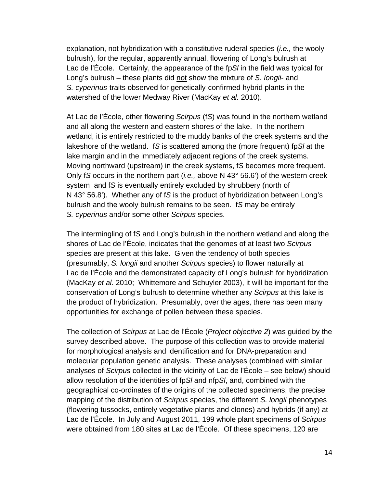explanation, not hybridization with a constitutive ruderal species (*i.e.,* the wooly bulrush), for the regular, apparently annual, flowering of Long's bulrush at Lac de l'École. Certainly, the appearance of the fp*Sl* in the field was typical for Long's bulrush – these plants did not show the mixture of *S. longii*- and *S. cyperinus-*traits observed for genetically-confirmed hybrid plants in the watershed of the lower Medway River (MacKay *et al.* 2010).

At Lac de l'École, other flowering *Scirpus* (f*S*) was found in the northern wetland and all along the western and eastern shores of the lake. In the northern wetland, it is entirely restricted to the muddy banks of the creek systems and the lakeshore of the wetland. f*S* is scattered among the (more frequent) fp*Sl* at the lake margin and in the immediately adjacent regions of the creek systems. Moving northward (upstream) in the creek systems, f*S* becomes more frequent. Only f*S* occurs in the northern part (*i.e.,* above N 43° 56.6') of the western creek system and f*S* is eventually entirely excluded by shrubbery (north of N 43° 56.8'). Whether any of f*S* is the product of hybridization between Long's bulrush and the wooly bulrush remains to be seen. f*S* may be entirely *S. cyperinus* and/or some other *Scirpus* species.

The intermingling of f*S* and Long's bulrush in the northern wetland and along the shores of Lac de l'École, indicates that the genomes of at least two *Scirpus* species are present at this lake. Given the tendency of both species (presumably, *S. longii* and another *Scirpus* species) to flower naturally at Lac de l'École and the demonstrated capacity of Long's bulrush for hybridization (MacKay *et al*. 2010; Whittemore and Schuyler 2003), it will be important for the conservation of Long's bulrush to determine whether any *Scirpus* at this lake is the product of hybridization. Presumably, over the ages, there has been many opportunities for exchange of pollen between these species.

The collection of *Scirpus* at Lac de l'École (*Project objective 2*) was guided by the survey described above. The purpose of this collection was to provide material for morphological analysis and identification and for DNA-preparation and molecular population genetic analysis. These analyses (combined with similar analyses of *Scirpus* collected in the vicinity of Lac de l'École – see below) should allow resolution of the identities of fp*Sl* and nfp*Sl*, and, combined with the geographical co-ordinates of the origins of the collected specimens, the precise mapping of the distribution of *Scirpus* species, the different *S. longii* phenotypes (flowering tussocks, entirely vegetative plants and clones) and hybrids (if any) at Lac de l'École. In July and August 2011, 199 whole plant specimens of *Scirpus* were obtained from 180 sites at Lac de l'École. Of these specimens, 120 are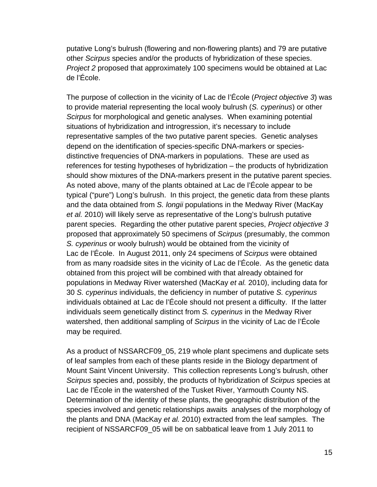putative Long's bulrush (flowering and non-flowering plants) and 79 are putative other *Scirpus* species and/or the products of hybridization of these species. *Project 2* proposed that approximately 100 specimens would be obtained at Lac de l'École.

The purpose of collection in the vicinity of Lac de l'École (*Project objective 3*) was to provide material representing the local wooly bulrush (*S. cyperinus*) or other *Scirpus* for morphological and genetic analyses. When examining potential situations of hybridization and introgression, it's necessary to include representative samples of the two putative parent species. Genetic analyses depend on the identification of species-specific DNA-markers or speciesdistinctive frequencies of DNA-markers in populations. These are used as references for testing hypotheses of hybridization – the products of hybridization should show mixtures of the DNA-markers present in the putative parent species. As noted above, many of the plants obtained at Lac de l'École appear to be typical ("pure") Long's bulrush. In this project, the genetic data from these plants and the data obtained from *S. longii* populations in the Medway River (MacKay *et al.* 2010) will likely serve as representative of the Long's bulrush putative parent species. Regarding the other putative parent species, *Project objective 3* proposed that approximately 50 specimens of *Scirpus* (presumably, the common *S. cyperinus* or wooly bulrush) would be obtained from the vicinity of Lac de l'École. In August 2011, only 24 specimens of *Scirpus* were obtained from as many roadside sites in the vicinity of Lac de l'École. As the genetic data obtained from this project will be combined with that already obtained for populations in Medway River watershed (MacKay *et al.* 2010), including data for 30 *S. cyperinus* individuals, the deficiency in number of putative *S. cyperinus* individuals obtained at Lac de l'École should not present a difficulty. If the latter individuals seem genetically distinct from *S. cyperinus* in the Medway River watershed, then additional sampling of *Scirpus* in the vicinity of Lac de l'École may be required.

As a product of NSSARCF09\_05, 219 whole plant specimens and duplicate sets of leaf samples from each of these plants reside in the Biology department of Mount Saint Vincent University. This collection represents Long's bulrush, other *Scirpus* species and, possibly, the products of hybridization of *Scirpus* species at Lac de l'École in the watershed of the Tusket River, Yarmouth County NS. Determination of the identity of these plants, the geographic distribution of the species involved and genetic relationships awaits analyses of the morphology of the plants and DNA (MacKay *et al.* 2010) extracted from the leaf samples. The recipient of NSSARCF09\_05 will be on sabbatical leave from 1 July 2011 to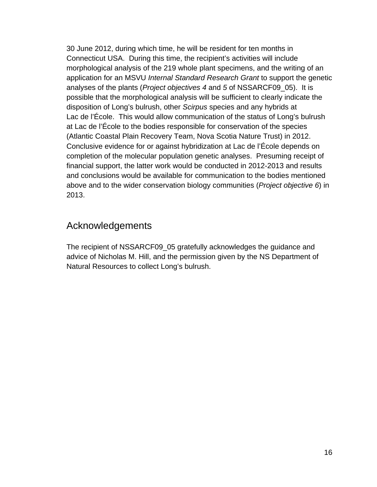30 June 2012, during which time, he will be resident for ten months in Connecticut USA. During this time, the recipient's activities will include morphological analysis of the 219 whole plant specimens, and the writing of an application for an MSVU *Internal Standard Research Grant* to support the genetic analyses of the plants (*Project objectives 4* and *5* of NSSARCF09\_05). It is possible that the morphological analysis will be sufficient to clearly indicate the disposition of Long's bulrush, other *Scirpus* species and any hybrids at Lac de l'École. This would allow communication of the status of Long's bulrush at Lac de l'École to the bodies responsible for conservation of the species (Atlantic Coastal Plain Recovery Team, Nova Scotia Nature Trust) in 2012. Conclusive evidence for or against hybridization at Lac de l'École depends on completion of the molecular population genetic analyses. Presuming receipt of financial support, the latter work would be conducted in 2012-2013 and results and conclusions would be available for communication to the bodies mentioned above and to the wider conservation biology communities (*Project objective 6*) in 2013.

### Acknowledgements

The recipient of NSSARCF09\_05 gratefully acknowledges the guidance and advice of Nicholas M. Hill, and the permission given by the NS Department of Natural Resources to collect Long's bulrush.